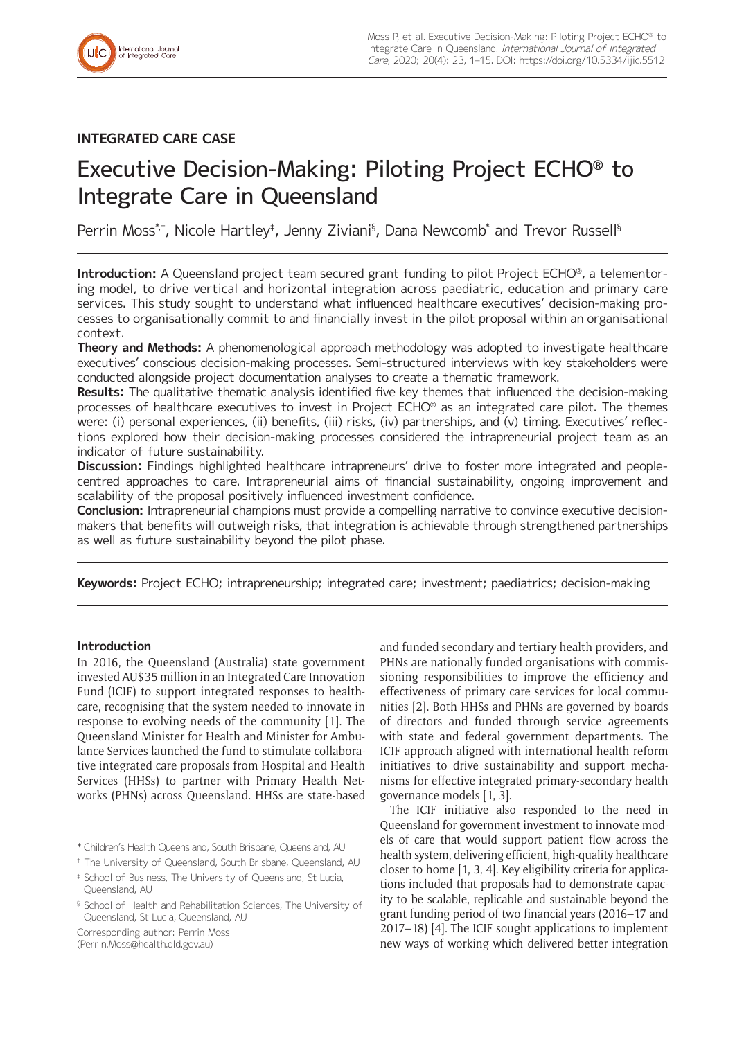# **INTEGRATED CARE CASE**

# Executive Decision-Making: Piloting Project ECHO® to Integrate Care in Queensland

Perrin Moss\*it, Nicole Hartley‡, Jenny Ziviani§, Dana Newcomb\* and Trevor Russell§

**Introduction:** A Queensland project team secured grant funding to pilot Project ECHO®, a telementoring model, to drive vertical and horizontal integration across paediatric, education and primary care services. This study sought to understand what influenced healthcare executives' decision-making processes to organisationally commit to and financially invest in the pilot proposal within an organisational context.

**Theory and Methods:** A phenomenological approach methodology was adopted to investigate healthcare executives' conscious decision-making processes. Semi-structured interviews with key stakeholders were conducted alongside project documentation analyses to create a thematic framework.

**Results:** The qualitative thematic analysis identified five key themes that influenced the decision-making processes of healthcare executives to invest in Project ECHO® as an integrated care pilot. The themes were: (i) personal experiences, (ii) benefits, (iii) risks, (iv) partnerships, and (v) timing. Executives' reflections explored how their decision-making processes considered the intrapreneurial project team as an indicator of future sustainability.

**Discussion:** Findings highlighted healthcare intrapreneurs' drive to foster more integrated and peoplecentred approaches to care. Intrapreneurial aims of financial sustainability, ongoing improvement and scalability of the proposal positively influenced investment confidence.

**Conclusion:** Intrapreneurial champions must provide a compelling narrative to convince executive decisionmakers that benefits will outweigh risks, that integration is achievable through strengthened partnerships as well as future sustainability beyond the pilot phase.

**Keywords:** Project ECHO; intrapreneurship; integrated care; investment; paediatrics; decision-making

# **Introduction**

In 2016, the Queensland (Australia) state government invested AU\$35 million in an Integrated Care Innovation Fund (ICIF) to support integrated responses to healthcare, recognising that the system needed to innovate in response to evolving needs of the community [1]. The Queensland Minister for Health and Minister for Ambulance Services launched the fund to stimulate collaborative integrated care proposals from Hospital and Health Services (HHSs) to partner with Primary Health Networks (PHNs) across Queensland. HHSs are state-based

Corresponding author: Perrin Moss [\(Perrin.Moss@health.qld.gov.au\)](mailto:Perrin.Moss@health.qld.gov.au)

and funded secondary and tertiary health providers, and PHNs are nationally funded organisations with commissioning responsibilities to improve the efficiency and effectiveness of primary care services for local communities [2]. Both HHSs and PHNs are governed by boards of directors and funded through service agreements with state and federal government departments. The ICIF approach aligned with international health reform initiatives to drive sustainability and support mechanisms for effective integrated primary-secondary health governance models [1, 3].

The ICIF initiative also responded to the need in Queensland for government investment to innovate models of care that would support patient flow across the health system, delivering efficient, high-quality healthcare closer to home [1, 3, 4]. Key eligibility criteria for applications included that proposals had to demonstrate capacity to be scalable, replicable and sustainable beyond the grant funding period of two financial years (2016–17 and 2017–18) [4]. The ICIF sought applications to implement new ways of working which delivered better integration

<sup>\*</sup> Children's Health Queensland, South Brisbane, Queensland, AU

<sup>†</sup> The University of Queensland, South Brisbane, Queensland, AU

<sup>‡</sup> School of Business, The University of Queensland, St Lucia, Queensland, AU

<sup>§</sup> School of Health and Rehabilitation Sciences, The University of Queensland, St Lucia, Queensland, AU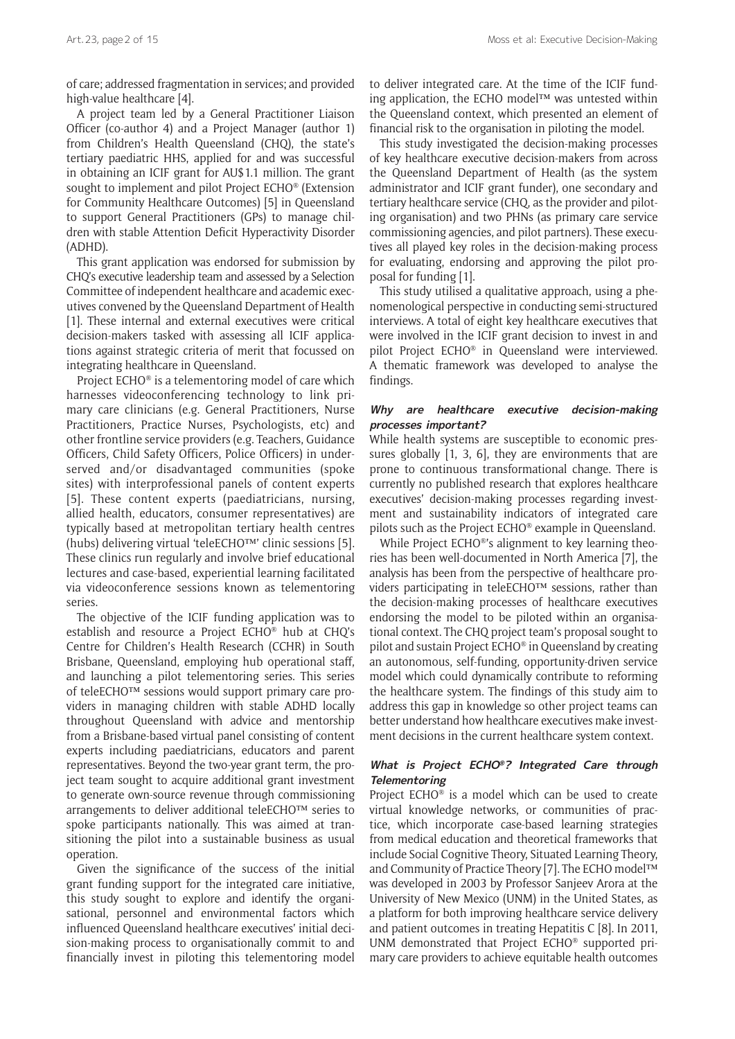of care; addressed fragmentation in services; and provided high-value healthcare [4].

A project team led by a General Practitioner Liaison Officer (co-author 4) and a Project Manager (author 1) from Children's Health Queensland (CHQ), the state's tertiary paediatric HHS, applied for and was successful in obtaining an ICIF grant for AU\$1.1 million. The grant sought to implement and pilot Project ECHO® (Extension for Community Healthcare Outcomes) [5] in Queensland to support General Practitioners (GPs) to manage children with stable Attention Deficit Hyperactivity Disorder (ADHD).

This grant application was endorsed for submission by CHQ's executive leadership team and assessed by a Selection Committee of independent healthcare and academic executives convened by the Queensland Department of Health [1]. These internal and external executives were critical decision-makers tasked with assessing all ICIF applications against strategic criteria of merit that focussed on integrating healthcare in Queensland.

Project ECHO® is a telementoring model of care which harnesses videoconferencing technology to link primary care clinicians (e.g. General Practitioners, Nurse Practitioners, Practice Nurses, Psychologists, etc) and other frontline service providers (e.g. Teachers, Guidance Officers, Child Safety Officers, Police Officers) in underserved and/or disadvantaged communities (spoke sites) with interprofessional panels of content experts [5]. These content experts (paediatricians, nursing, allied health, educators, consumer representatives) are typically based at metropolitan tertiary health centres (hubs) delivering virtual 'teleECHO™' clinic sessions [5]. These clinics run regularly and involve brief educational lectures and case-based, experiential learning facilitated via videoconference sessions known as telementoring series.

The objective of the ICIF funding application was to establish and resource a Project ECHO® hub at CHQ's Centre for Children's Health Research (CCHR) in South Brisbane, Queensland, employing hub operational staff, and launching a pilot telementoring series. This series of teleECHO™ sessions would support primary care providers in managing children with stable ADHD locally throughout Queensland with advice and mentorship from a Brisbane-based virtual panel consisting of content experts including paediatricians, educators and parent representatives. Beyond the two-year grant term, the project team sought to acquire additional grant investment to generate own-source revenue through commissioning arrangements to deliver additional teleECHO™ series to spoke participants nationally. This was aimed at transitioning the pilot into a sustainable business as usual operation.

Given the significance of the success of the initial grant funding support for the integrated care initiative, this study sought to explore and identify the organisational, personnel and environmental factors which influenced Queensland healthcare executives' initial decision-making process to organisationally commit to and financially invest in piloting this telementoring model to deliver integrated care. At the time of the ICIF funding application, the ECHO model™ was untested within the Queensland context, which presented an element of financial risk to the organisation in piloting the model.

This study investigated the decision-making processes of key healthcare executive decision-makers from across the Queensland Department of Health (as the system administrator and ICIF grant funder), one secondary and tertiary healthcare service (CHQ, as the provider and piloting organisation) and two PHNs (as primary care service commissioning agencies, and pilot partners). These executives all played key roles in the decision-making process for evaluating, endorsing and approving the pilot proposal for funding [1].

This study utilised a qualitative approach, using a phenomenological perspective in conducting semi-structured interviews. A total of eight key healthcare executives that were involved in the ICIF grant decision to invest in and pilot Project ECHO® in Queensland were interviewed. A thematic framework was developed to analyse the findings.

### **Why are healthcare executive decision-making processes important?**

While health systems are susceptible to economic pressures globally [1, 3, 6], they are environments that are prone to continuous transformational change. There is currently no published research that explores healthcare executives' decision-making processes regarding investment and sustainability indicators of integrated care pilots such as the Project ECHO® example in Queensland.

While Project ECHO®'s alignment to key learning theories has been well-documented in North America [7], the analysis has been from the perspective of healthcare providers participating in teleECHO™ sessions, rather than the decision-making processes of healthcare executives endorsing the model to be piloted within an organisational context. The CHQ project team's proposal sought to pilot and sustain Project ECHO® in Queensland by creating an autonomous, self-funding, opportunity-driven service model which could dynamically contribute to reforming the healthcare system. The findings of this study aim to address this gap in knowledge so other project teams can better understand how healthcare executives make investment decisions in the current healthcare system context.

# **What is Project ECHO®? Integrated Care through Telementoring**

Project ECHO® is a model which can be used to create virtual knowledge networks, or communities of practice, which incorporate case-based learning strategies from medical education and theoretical frameworks that include Social Cognitive Theory, Situated Learning Theory, and Community of Practice Theory [7]. The ECHO model™ was developed in 2003 by Professor Sanjeev Arora at the University of New Mexico (UNM) in the United States, as a platform for both improving healthcare service delivery and patient outcomes in treating Hepatitis C [8]. In 2011, UNM demonstrated that Project ECHO® supported primary care providers to achieve equitable health outcomes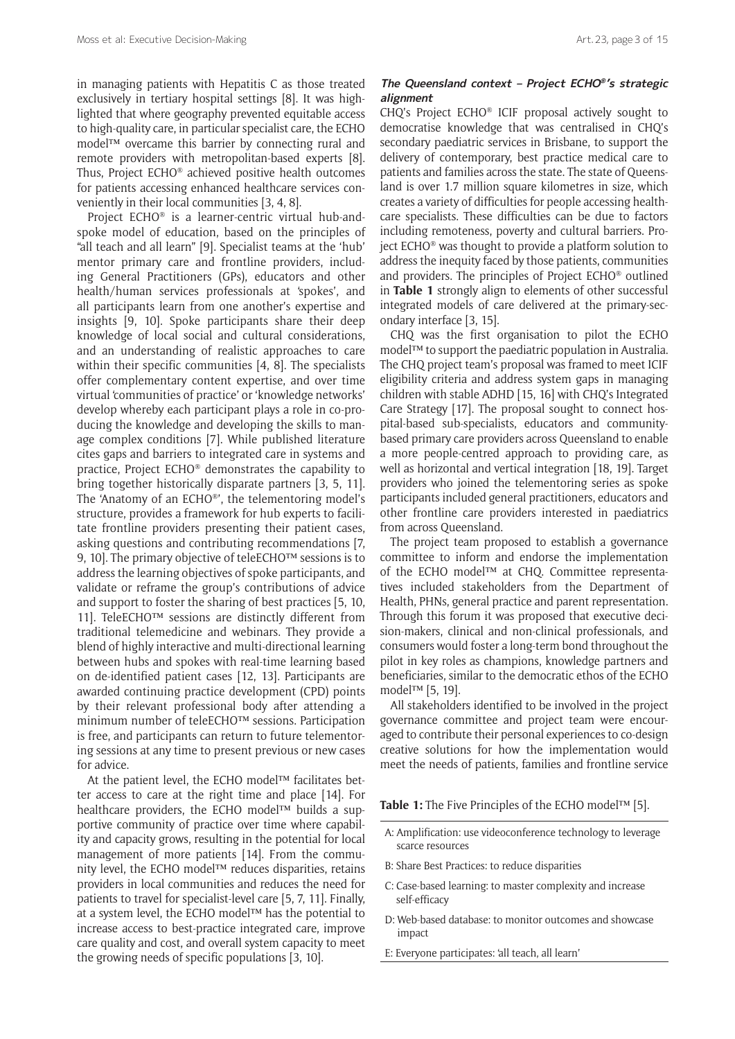in managing patients with Hepatitis C as those treated exclusively in tertiary hospital settings [8]. It was highlighted that where geography prevented equitable access to high-quality care, in particular specialist care, the ECHO model™ overcame this barrier by connecting rural and remote providers with metropolitan-based experts [8]. Thus, Project ECHO® achieved positive health outcomes for patients accessing enhanced healthcare services conveniently in their local communities [3, 4, 8].

Project ECHO® is a learner-centric virtual hub-andspoke model of education, based on the principles of "all teach and all learn" [9]. Specialist teams at the 'hub' mentor primary care and frontline providers, including General Practitioners (GPs), educators and other health/human services professionals at 'spokes', and all participants learn from one another's expertise and insights [9, 10]. Spoke participants share their deep knowledge of local social and cultural considerations, and an understanding of realistic approaches to care within their specific communities [4, 8]. The specialists offer complementary content expertise, and over time virtual 'communities of practice' or 'knowledge networks' develop whereby each participant plays a role in co-producing the knowledge and developing the skills to manage complex conditions [7]. While published literature cites gaps and barriers to integrated care in systems and practice, Project ECHO® demonstrates the capability to bring together historically disparate partners [3, 5, 11]. The 'Anatomy of an ECHO®', the telementoring model's structure, provides a framework for hub experts to facilitate frontline providers presenting their patient cases, asking questions and contributing recommendations [7, 9, 10]. The primary objective of teleECHO™ sessions is to address the learning objectives of spoke participants, and validate or reframe the group's contributions of advice and support to foster the sharing of best practices [5, 10, 11]. TeleECHO™ sessions are distinctly different from traditional telemedicine and webinars. They provide a blend of highly interactive and multi-directional learning between hubs and spokes with real-time learning based on de-identified patient cases [12, 13]. Participants are awarded continuing practice development (CPD) points by their relevant professional body after attending a minimum number of teleECHO™ sessions. Participation is free, and participants can return to future telementoring sessions at any time to present previous or new cases for advice.

At the patient level, the ECHO model™ facilitates better access to care at the right time and place [14]. For healthcare providers, the ECHO model™ builds a supportive community of practice over time where capability and capacity grows, resulting in the potential for local management of more patients [14]. From the community level, the ECHO model™ reduces disparities, retains providers in local communities and reduces the need for patients to travel for specialist-level care [5, 7, 11]. Finally, at a system level, the ECHO model™ has the potential to increase access to best-practice integrated care, improve care quality and cost, and overall system capacity to meet the growing needs of specific populations [3, 10].

# **The Queensland context – Project ECHO®'s strategic alignment**

CHQ's Project ECHO® ICIF proposal actively sought to democratise knowledge that was centralised in CHQ's secondary paediatric services in Brisbane, to support the delivery of contemporary, best practice medical care to patients and families across the state. The state of Queensland is over 1.7 million square kilometres in size, which creates a variety of difficulties for people accessing healthcare specialists. These difficulties can be due to factors including remoteness, poverty and cultural barriers. Project ECHO® was thought to provide a platform solution to address the inequity faced by those patients, communities and providers. The principles of Project ECHO® outlined in **Table 1** strongly align to elements of other successful integrated models of care delivered at the primary-secondary interface [3, 15].

CHQ was the first organisation to pilot the ECHO model™ to support the paediatric population in Australia. The CHQ project team's proposal was framed to meet ICIF eligibility criteria and address system gaps in managing children with stable ADHD [15, 16] with CHQ's Integrated Care Strategy [17]. The proposal sought to connect hospital-based sub-specialists, educators and communitybased primary care providers across Queensland to enable a more people-centred approach to providing care, as well as horizontal and vertical integration [18, 19]. Target providers who joined the telementoring series as spoke participants included general practitioners, educators and other frontline care providers interested in paediatrics from across Queensland.

The project team proposed to establish a governance committee to inform and endorse the implementation of the ECHO model™ at CHQ. Committee representatives included stakeholders from the Department of Health, PHNs, general practice and parent representation. Through this forum it was proposed that executive decision-makers, clinical and non-clinical professionals, and consumers would foster a long-term bond throughout the pilot in key roles as champions, knowledge partners and beneficiaries, similar to the democratic ethos of the ECHO model™ [5, 19].

All stakeholders identified to be involved in the project governance committee and project team were encouraged to contribute their personal experiences to co-design creative solutions for how the implementation would meet the needs of patients, families and frontline service

**Table 1:** The Five Principles of the ECHO model™ [5].

- A: Amplification: use videoconference technology to leverage scarce resources
- B: Share Best Practices: to reduce disparities
- C: Case-based learning: to master complexity and increase self-efficacy
- D: Web-based database: to monitor outcomes and showcase impact
- E: Everyone participates: 'all teach, all learn'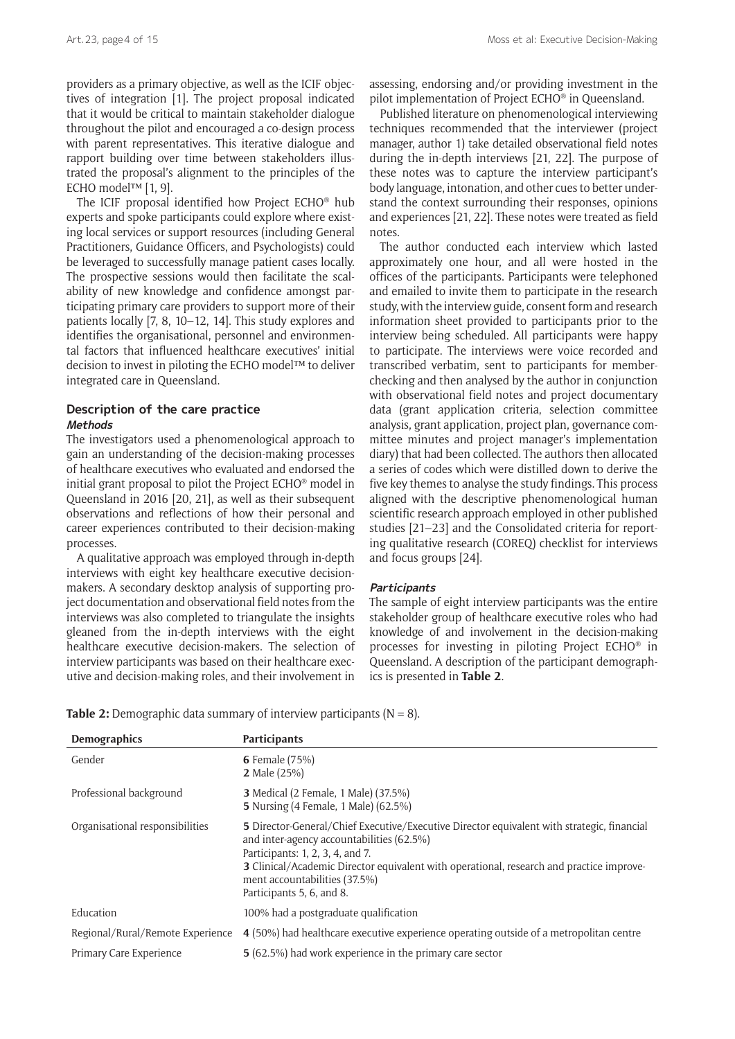providers as a primary objective, as well as the ICIF objectives of integration [1]. The project proposal indicated that it would be critical to maintain stakeholder dialogue throughout the pilot and encouraged a co-design process with parent representatives. This iterative dialogue and rapport building over time between stakeholders illustrated the proposal's alignment to the principles of the ECHO model™ [1, 9].

The ICIF proposal identified how Project ECHO® hub experts and spoke participants could explore where existing local services or support resources (including General Practitioners, Guidance Officers, and Psychologists) could be leveraged to successfully manage patient cases locally. The prospective sessions would then facilitate the scalability of new knowledge and confidence amongst participating primary care providers to support more of their patients locally [7, 8, 10–12, 14]. This study explores and identifies the organisational, personnel and environmental factors that influenced healthcare executives' initial decision to invest in piloting the ECHO model™ to deliver integrated care in Queensland.

# **Description of the care practice Methods**

The investigators used a phenomenological approach to gain an understanding of the decision-making processes of healthcare executives who evaluated and endorsed the initial grant proposal to pilot the Project ECHO® model in Queensland in 2016 [20, 21], as well as their subsequent observations and reflections of how their personal and career experiences contributed to their decision-making processes.

A qualitative approach was employed through in-depth interviews with eight key healthcare executive decisionmakers. A secondary desktop analysis of supporting project documentation and observational field notes from the interviews was also completed to triangulate the insights gleaned from the in-depth interviews with the eight healthcare executive decision-makers. The selection of interview participants was based on their healthcare executive and decision-making roles, and their involvement in

assessing, endorsing and/or providing investment in the pilot implementation of Project ECHO® in Queensland.

Published literature on phenomenological interviewing techniques recommended that the interviewer (project manager, author 1) take detailed observational field notes during the in-depth interviews [21, 22]. The purpose of these notes was to capture the interview participant's body language, intonation, and other cues to better understand the context surrounding their responses, opinions and experiences [21, 22]. These notes were treated as field notes.

The author conducted each interview which lasted approximately one hour, and all were hosted in the offices of the participants. Participants were telephoned and emailed to invite them to participate in the research study, with the interview guide, consent form and research information sheet provided to participants prior to the interview being scheduled. All participants were happy to participate. The interviews were voice recorded and transcribed verbatim, sent to participants for memberchecking and then analysed by the author in conjunction with observational field notes and project documentary data (grant application criteria, selection committee analysis, grant application, project plan, governance committee minutes and project manager's implementation diary) that had been collected. The authors then allocated a series of codes which were distilled down to derive the five key themes to analyse the study findings. This process aligned with the descriptive phenomenological human scientific research approach employed in other published studies [21–23] and the Consolidated criteria for reporting qualitative research (COREQ) checklist for interviews and focus groups [24].

# **Participants**

The sample of eight interview participants was the entire stakeholder group of healthcare executive roles who had knowledge of and involvement in the decision-making processes for investing in piloting Project ECHO® in Queensland. A description of the participant demographics is presented in **Table 2**.

**Table 2:** Demographic data summary of interview participants ( $N = 8$ ).

| Demographics                     | Participants                                                                                                                                                                                                                                                                                                                                 |
|----------------------------------|----------------------------------------------------------------------------------------------------------------------------------------------------------------------------------------------------------------------------------------------------------------------------------------------------------------------------------------------|
| Gender                           | <b>6</b> Female (75%)<br>2 Male (25%)                                                                                                                                                                                                                                                                                                        |
| Professional background          | <b>3</b> Medical (2 Female, 1 Male) (37.5%)<br><b>5</b> Nursing (4 Female, 1 Male) (62.5%)                                                                                                                                                                                                                                                   |
| Organisational responsibilities  | 5 Director-General/Chief Executive/Executive Director equivalent with strategic, financial<br>and inter-agency accountabilities (62.5%)<br>Participants: 1, 2, 3, 4, and 7.<br><b>3</b> Clinical/Academic Director equivalent with operational, research and practice improve-<br>ment accountabilities (37.5%)<br>Participants 5, 6, and 8. |
| Education                        | 100% had a postgraduate qualification                                                                                                                                                                                                                                                                                                        |
| Regional/Rural/Remote Experience | 4 (50%) had healthcare executive experience operating outside of a metropolitan centre                                                                                                                                                                                                                                                       |
| Primary Care Experience          | 5 (62.5%) had work experience in the primary care sector                                                                                                                                                                                                                                                                                     |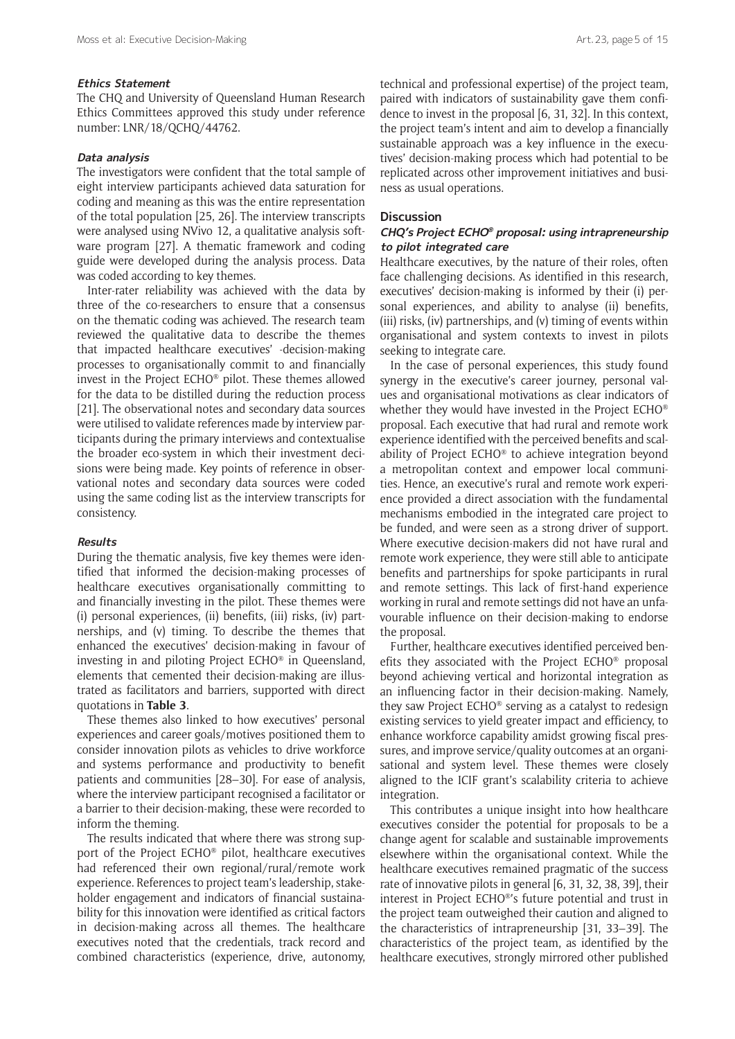#### **Ethics Statement**

The CHQ and University of Queensland Human Research Ethics Committees approved this study under reference number: LNR/18/QCHQ/44762.

#### **Data analysis**

The investigators were confident that the total sample of eight interview participants achieved data saturation for coding and meaning as this was the entire representation of the total population [25, 26]. The interview transcripts were analysed using NVivo 12, a qualitative analysis software program [27]. A thematic framework and coding guide were developed during the analysis process. Data was coded according to key themes.

Inter-rater reliability was achieved with the data by three of the co-researchers to ensure that a consensus on the thematic coding was achieved. The research team reviewed the qualitative data to describe the themes that impacted healthcare executives' -decision-making processes to organisationally commit to and financially invest in the Project ECHO® pilot. These themes allowed for the data to be distilled during the reduction process [21]. The observational notes and secondary data sources were utilised to validate references made by interview participants during the primary interviews and contextualise the broader eco-system in which their investment decisions were being made. Key points of reference in observational notes and secondary data sources were coded using the same coding list as the interview transcripts for consistency.

#### **Results**

During the thematic analysis, five key themes were identified that informed the decision-making processes of healthcare executives organisationally committing to and financially investing in the pilot. These themes were (i) personal experiences, (ii) benefits, (iii) risks, (iv) partnerships, and (v) timing. To describe the themes that enhanced the executives' decision-making in favour of investing in and piloting Project ECHO® in Queensland, elements that cemented their decision-making are illustrated as facilitators and barriers, supported with direct quotations in **Table 3**.

These themes also linked to how executives' personal experiences and career goals/motives positioned them to consider innovation pilots as vehicles to drive workforce and systems performance and productivity to benefit patients and communities [28–30]. For ease of analysis, where the interview participant recognised a facilitator or a barrier to their decision-making, these were recorded to inform the theming.

The results indicated that where there was strong support of the Project ECHO® pilot, healthcare executives had referenced their own regional/rural/remote work experience. References to project team's leadership, stakeholder engagement and indicators of financial sustainability for this innovation were identified as critical factors in decision-making across all themes. The healthcare executives noted that the credentials, track record and combined characteristics (experience, drive, autonomy,

technical and professional expertise) of the project team, paired with indicators of sustainability gave them confidence to invest in the proposal [6, 31, 32]. In this context, the project team's intent and aim to develop a financially sustainable approach was a key influence in the executives' decision-making process which had potential to be replicated across other improvement initiatives and business as usual operations.

#### **Discussion**

# **CHQ's Project ECHO® proposal: using intrapreneurship to pilot integrated care**

Healthcare executives, by the nature of their roles, often face challenging decisions. As identified in this research, executives' decision-making is informed by their (i) personal experiences, and ability to analyse (ii) benefits, (iii) risks, (iv) partnerships, and (v) timing of events within organisational and system contexts to invest in pilots seeking to integrate care.

In the case of personal experiences, this study found synergy in the executive's career journey, personal values and organisational motivations as clear indicators of whether they would have invested in the Project ECHO® proposal. Each executive that had rural and remote work experience identified with the perceived benefits and scalability of Project ECHO® to achieve integration beyond a metropolitan context and empower local communities. Hence, an executive's rural and remote work experience provided a direct association with the fundamental mechanisms embodied in the integrated care project to be funded, and were seen as a strong driver of support. Where executive decision-makers did not have rural and remote work experience, they were still able to anticipate benefits and partnerships for spoke participants in rural and remote settings. This lack of first-hand experience working in rural and remote settings did not have an unfavourable influence on their decision-making to endorse the proposal.

Further, healthcare executives identified perceived benefits they associated with the Project ECHO® proposal beyond achieving vertical and horizontal integration as an influencing factor in their decision-making. Namely, they saw Project ECHO® serving as a catalyst to redesign existing services to yield greater impact and efficiency, to enhance workforce capability amidst growing fiscal pressures, and improve service/quality outcomes at an organisational and system level. These themes were closely aligned to the ICIF grant's scalability criteria to achieve integration.

This contributes a unique insight into how healthcare executives consider the potential for proposals to be a change agent for scalable and sustainable improvements elsewhere within the organisational context. While the healthcare executives remained pragmatic of the success rate of innovative pilots in general [6, 31, 32, 38, 39], their interest in Project ECHO®'s future potential and trust in the project team outweighed their caution and aligned to the characteristics of intrapreneurship [31, 33–39]. The characteristics of the project team, as identified by the healthcare executives, strongly mirrored other published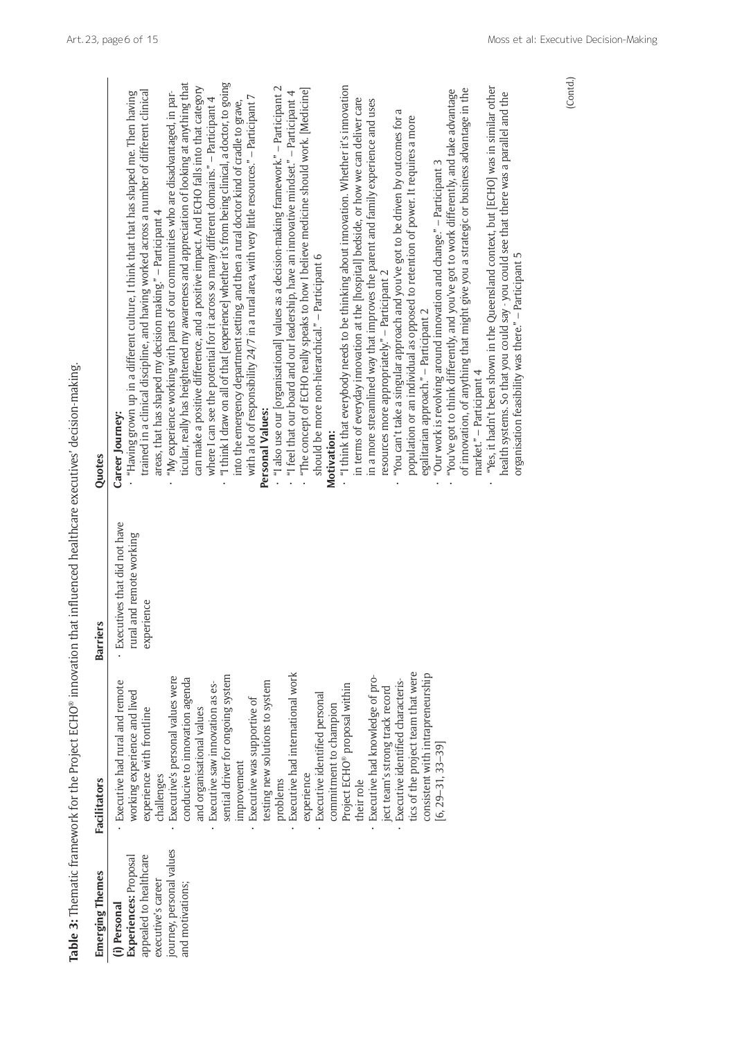| <b>Emerging Themes</b>                                                                                                                | <b>Facilitators</b>                                                                                                                                                                                                                                                                                                                                                                                                                                                                                                                                                                                                                                                                                                                                           | <b>Barriers</b>                                                        | Quotes                                                                                                                                                                                                                                                                                                                                                                                                                                                                                                                                                                                                                                                                                                                                                                                                                                                                                                                                                                                                                                                                                                                                                                                                                                                                                                                                                                                                                                                                                                                                                                                                                                                                                                                                                                                                                                                                                                                                                                                                                                                                                                                                                                                                                                                                                                                                                                                                                 |
|---------------------------------------------------------------------------------------------------------------------------------------|---------------------------------------------------------------------------------------------------------------------------------------------------------------------------------------------------------------------------------------------------------------------------------------------------------------------------------------------------------------------------------------------------------------------------------------------------------------------------------------------------------------------------------------------------------------------------------------------------------------------------------------------------------------------------------------------------------------------------------------------------------------|------------------------------------------------------------------------|------------------------------------------------------------------------------------------------------------------------------------------------------------------------------------------------------------------------------------------------------------------------------------------------------------------------------------------------------------------------------------------------------------------------------------------------------------------------------------------------------------------------------------------------------------------------------------------------------------------------------------------------------------------------------------------------------------------------------------------------------------------------------------------------------------------------------------------------------------------------------------------------------------------------------------------------------------------------------------------------------------------------------------------------------------------------------------------------------------------------------------------------------------------------------------------------------------------------------------------------------------------------------------------------------------------------------------------------------------------------------------------------------------------------------------------------------------------------------------------------------------------------------------------------------------------------------------------------------------------------------------------------------------------------------------------------------------------------------------------------------------------------------------------------------------------------------------------------------------------------------------------------------------------------------------------------------------------------------------------------------------------------------------------------------------------------------------------------------------------------------------------------------------------------------------------------------------------------------------------------------------------------------------------------------------------------------------------------------------------------------------------------------------------------|
| journey, personal values<br>appealed to healthcare<br>Experiences: Proposal<br>executive's career<br>and motivations;<br>(i) Personal | tics of the project team that were<br>Executive had international work<br>consistent with intrapreneurship<br>sential driver for ongoing system<br>Executive's personal values were<br>conducive to innovation agenda<br>Executive had knowledge of pro-<br>testing new solutions to system<br>Executive identified characteris-<br>Executive had rural and remote<br>Executive saw innovation as es-<br>Project ECHO® proposal within<br>ject team's strong track record<br>working experience and lived<br>Executive identified personal<br>Executive was supportive of<br>commitment to champion<br>experience with frontline<br>and organisational values<br>$[6, 29 - 31, 33 - 39]$<br>improvement<br>experience<br>challenges<br>problems<br>their role | Executives that did not have<br>rural and remote working<br>experience | ticular, really has heightened my awareness and appreciation of looking at anything that<br>"I think I draw on all of that [experience] whether it's from being clinical, a doctor, to going<br>. "I think that everybody needs to be thinking about innovation. Whether it's innovation<br>"Yes, it hadn't been shown in the Queensland context, but [ECHO] was in similar other<br>can make a positive difference, and a positive impact. And ECHO falls into that category<br>. "I also use our [organisational] values as a decision-making framework." - Participant 2<br>of innovation, of anything that might give you a strategic or business advantage in the<br>. "The concept of ECHO really speaks to how I believe medicine should work. [Medicine]<br>"You've got to think differently, and you've got to work differently, and take advantage<br>trained in a clinical discipline, and having worked across a number of different clinical<br>. "Having grown up in a different culture, I think that that has shaped me. Then having<br>"My experience working with parts of our communities who are disadvantaged, in par-<br>. "I feel that our board and our leadership, have an innovative mindset." - Participant 4<br>health systems. So that you could say - you could see that there was a parallel and the<br>with a lot of responsibility 24/7 in a rural area, with very little resources." - Participant 7<br>where I can see the potential for it across so many different domains." - Participant 4<br>in terms of everyday innovation at the [hospital] bedside, or how we can deliver care<br>in a more streamlined way that improves the parent and family experience and uses<br>into the emergency department setting, and then a rural doctor kind of cradle to grave,<br>"You can't take a singular approach and you've got to be driven by outcomes for a<br>population or an individual as opposed to retention of power. It requires a more<br>"Our work is revolving around innovation and change." - Participant 3<br>areas, that has shaped my decision making." - Participant 4<br>should be more non-hierarchical." - Participant 6<br>organisation feasibility was there." - Participant 5<br>resources more appropriately." - Participant 2<br>egalitarian approach." - Participant 2<br>market." – Participant 4<br>Personal Values:<br>Career Journey:<br>Motivation: |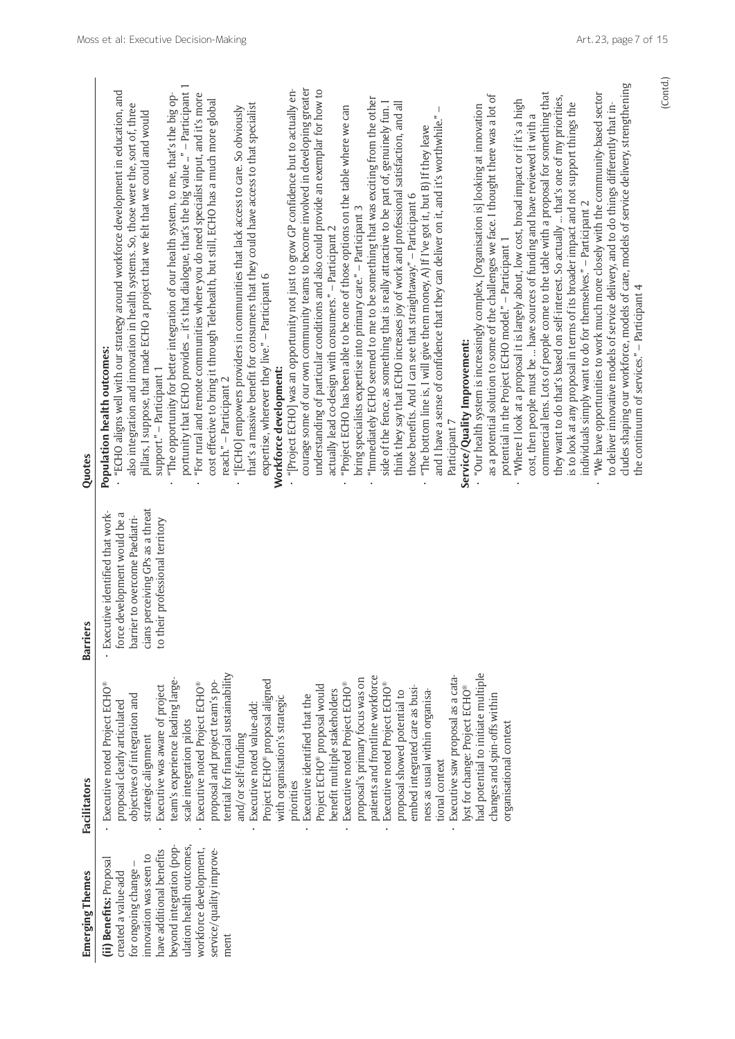|                        | (Contd.)                                                                                                                                                                                                                                                                                                                                                                                                                                                                                                                                                                                                                                                                                                                                                                                                                                                                                                                                                                                                                                                                                                                                                                                                                                                                                                                                                                                                                                                                                                                                                                                                                                                                                                                                                                                                                                                                                                                                                                                                                                                                                                                                                                                                                                                                                                                                                                                                                                                                                                                                                                                                                                                                                                                                                                                                                                                                                                                                                                                                                                                                                                                                                          |
|------------------------|-------------------------------------------------------------------------------------------------------------------------------------------------------------------------------------------------------------------------------------------------------------------------------------------------------------------------------------------------------------------------------------------------------------------------------------------------------------------------------------------------------------------------------------------------------------------------------------------------------------------------------------------------------------------------------------------------------------------------------------------------------------------------------------------------------------------------------------------------------------------------------------------------------------------------------------------------------------------------------------------------------------------------------------------------------------------------------------------------------------------------------------------------------------------------------------------------------------------------------------------------------------------------------------------------------------------------------------------------------------------------------------------------------------------------------------------------------------------------------------------------------------------------------------------------------------------------------------------------------------------------------------------------------------------------------------------------------------------------------------------------------------------------------------------------------------------------------------------------------------------------------------------------------------------------------------------------------------------------------------------------------------------------------------------------------------------------------------------------------------------------------------------------------------------------------------------------------------------------------------------------------------------------------------------------------------------------------------------------------------------------------------------------------------------------------------------------------------------------------------------------------------------------------------------------------------------------------------------------------------------------------------------------------------------------------------------------------------------------------------------------------------------------------------------------------------------------------------------------------------------------------------------------------------------------------------------------------------------------------------------------------------------------------------------------------------------------------------------------------------------------------------------------------------------|
| Quotes                 | cludes shaping our workforce, models of care, models of service delivery, strengthening<br>portunity that ECHO provides  it's that dialogue, that's the big value " - Participant 1<br>courage some of our own community teams to become involved in developing greater<br>"[Project ECHO] was an opportunity not just to grow GP confidence but to actually en-<br>understanding of particular conditions and also could provide an exemplar for how to<br>. "ECHO aligns well with our strategy around workforce development in education, and<br>commercial lens. Lots of people come to the table with a proposal for something that<br>"We have opportunities to work much more closely with the community-based sector<br>"The opportunity for better integration of our health system, to me, that's the big op-<br>as a potential solution to some of the challenges we face. I thought there was a lot of<br>"For rural and remote communities where you do need specialist input, and it's more<br>they want to do that's based on self-interest. So actually  that's one of my priorities,<br>"Immediately ECHO seemed to me to be something that was exciting from the other<br>cost effective to bring it through Telehealth, but still, ECHO has a much more global<br>"Where I look at a proposal it is largely about, low cost, broad impact or if it's a high<br>side of the fence, as something that is really attractive to be part of, genuinely fun. I<br>think they say that ECHO increases joy of work and professional satisfaction, and all<br>to deliver innovative models of service delivery, and to do things differently that in-<br>is to look at any proposal in terms of its broader impact and not support things the<br>also integration and innovation in health systems. So, those were the, sort of, three<br>that's a massive benefit for consumers that they could have access to that specialist<br>"Our health system is increasingly complex, [Organisation is] looking at innovation<br>"Project ECHO has been able to be one of those options on the table where we can<br>"[ECHO] empowers providers in communities that lack access to care. So obviously<br>pillars, I suppose, that made ECHO a project that we felt that we could and would<br>cost, then people must be  have sources of funding and have reviewed it with a<br>and I have a sense of confidence that they can deliver on it, and it's worthwhile."<br>"The bottom line is, I will give them money, A) If I've got it, but B) If they leave<br>those benefits. And I can see that straightaway." - Participant 6<br>individuals simply want to do for themselves." - Participant 2<br>bring specialists expertise into primary care." - Participant 3<br>actually lead co-design with consumers." - Participant 2<br>potential in the Project ECHO model." - Participant 1<br>expertise, wherever they live." - Participant 6<br>the continuum of services." - Participant 4<br>Service/Quality Improvement:<br>Population health outcomes:<br>Workforce development:<br>support." - Participant 1<br>reach." - Participant 2<br>Participant 7 |
| <b>Barriers</b>        | cians perceiving GPs as a threat<br>Executive identified that work-<br>force development would be a<br>barrier to overcome Paediatri-<br>to their professional territory                                                                                                                                                                                                                                                                                                                                                                                                                                                                                                                                                                                                                                                                                                                                                                                                                                                                                                                                                                                                                                                                                                                                                                                                                                                                                                                                                                                                                                                                                                                                                                                                                                                                                                                                                                                                                                                                                                                                                                                                                                                                                                                                                                                                                                                                                                                                                                                                                                                                                                                                                                                                                                                                                                                                                                                                                                                                                                                                                                                          |
| <b>Facilitators</b>    | had potential to initiate multiple<br>tential for financial sustainability<br>patients and frontline workforce<br>Executive saw proposal as a cata-<br>team's experience leading large-<br>proposal's primary focus was on<br>Project ECHO® proposal aligned<br>proposal and project team's po-<br>Executive noted Project ECHO®<br>Executive noted Project ECHO®<br>Executive noted Project ECHO®<br>Executive noted Project ECHO®<br>Executive was aware of project<br>Project ECHO® proposal would<br>lyst for change: Project ECHO®<br>embed integrated care as busi-<br>benefit multiple stakeholders<br>proposal showed potential to<br>ness as usual within organisa-<br>changes and spin-offs within<br>objectives of integration and<br>Executive identified that the<br>with organisation's strategic<br>proposal clearly articulated<br>Executive noted value-add:<br>scale integration pilots<br>organisational context<br>and/or self-funding<br>strategic alignment<br>tional context<br>priorities                                                                                                                                                                                                                                                                                                                                                                                                                                                                                                                                                                                                                                                                                                                                                                                                                                                                                                                                                                                                                                                                                                                                                                                                                                                                                                                                                                                                                                                                                                                                                                                                                                                                                                                                                                                                                                                                                                                                                                                                                                                                                                                                                 |
| <b>Emerging Themes</b> | beyond integration (pop-<br>ulation health outcomes,<br>workforce development,<br>have additional benefits<br>service/quality improve-<br>innovation was seen to<br>(ii) Benefits: Proposal<br>for ongoing change<br>created a value-add<br>ment                                                                                                                                                                                                                                                                                                                                                                                                                                                                                                                                                                                                                                                                                                                                                                                                                                                                                                                                                                                                                                                                                                                                                                                                                                                                                                                                                                                                                                                                                                                                                                                                                                                                                                                                                                                                                                                                                                                                                                                                                                                                                                                                                                                                                                                                                                                                                                                                                                                                                                                                                                                                                                                                                                                                                                                                                                                                                                                  |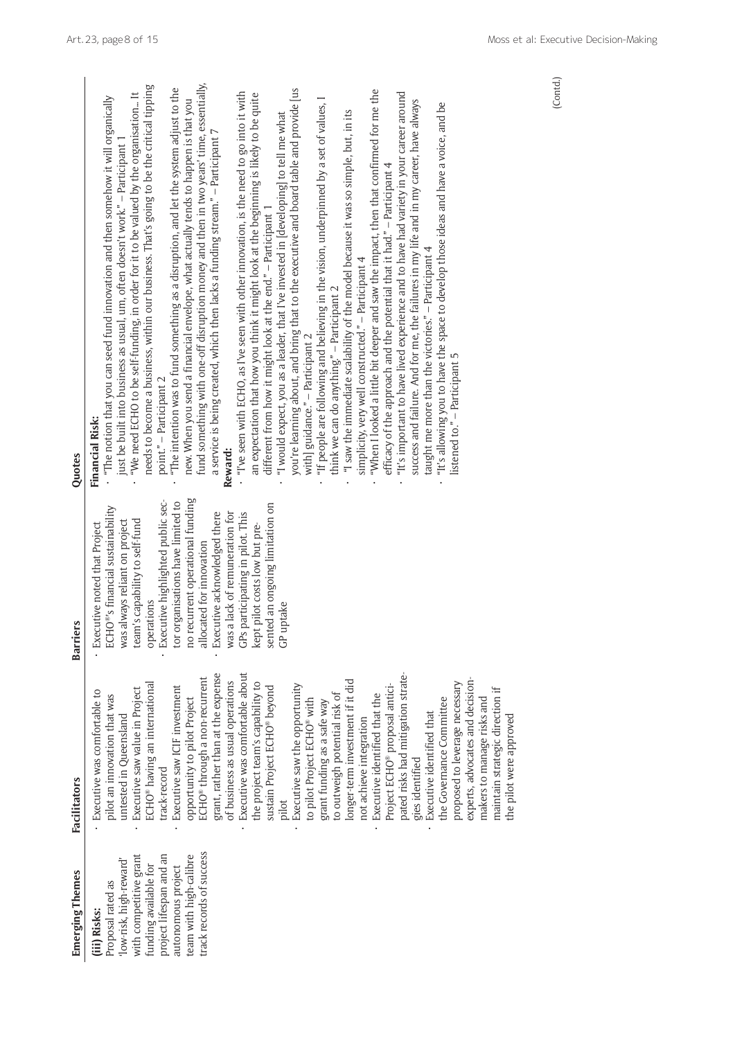| Quotes                 | fund something with one-off disruption money and then in two years' time, essentially,<br>needs to become a business, within our business. That's going to be the critical tipping<br>"The intention was to fund something as a disruption, and let the system adjust to the<br>you're learning about, and bring that to the executive and board table and provide [us<br>"When I looked a little bit deeper and saw the impact, then that confirmed for me the<br>. "I've seen with ECHO, as I've seen with other innovation, is the need to go into it with<br>"It's important to have lived experience and to have had variety in your career around<br>"We need ECHO to be self-funding, in order for it to be valued by the organisation It<br>an expectation that how you think it might look at the beginning is likely to be quite<br>. "The notion that you can seed fund innovation and then somehow it will organically<br>"If people are following and believing in the vision, underpinned by a set of values, I<br>new. When you send a financial envelope, what actually tends to happen is that you<br>success and failure. And for me, the failures in my life and in my career, have always<br>"It's allowing you to have the space to develop those ideas and have a voice, and be<br>"I saw the immediate scalability of the model because it was so simple, but, in its<br>"I would expect, you as a leader, that I've invested in [developing] to tell me what<br>a service is being created, which then lacks a funding stream." - Participant 7<br>just be built into business as usual, um, often doesn't work." - Participant 1<br>efficacy of the approach and the potential that it had." - Participant 4<br>different from how it might look at the end." - Participant 1<br>taught me more than the victories." - Participant 4<br>simplicity, very well constructed." - Participant 4<br>think we can do anything." - Participant 2<br>with] guidance." - Participant 2<br>listened to." - Participant 5<br>point." - Participant 2<br>Financial Risk:<br>Reward: | (Contd.) |
|------------------------|--------------------------------------------------------------------------------------------------------------------------------------------------------------------------------------------------------------------------------------------------------------------------------------------------------------------------------------------------------------------------------------------------------------------------------------------------------------------------------------------------------------------------------------------------------------------------------------------------------------------------------------------------------------------------------------------------------------------------------------------------------------------------------------------------------------------------------------------------------------------------------------------------------------------------------------------------------------------------------------------------------------------------------------------------------------------------------------------------------------------------------------------------------------------------------------------------------------------------------------------------------------------------------------------------------------------------------------------------------------------------------------------------------------------------------------------------------------------------------------------------------------------------------------------------------------------------------------------------------------------------------------------------------------------------------------------------------------------------------------------------------------------------------------------------------------------------------------------------------------------------------------------------------------------------------------------------------------------------------------------------------------------------------------------------------------------------------------------------|----------|
| <b>Barriers</b>        | no recurrent operational funding<br>Executive highlighted public sec-<br>tor organisations have limited to<br>sented an ongoing limitation on<br>ECHO <sup>®'</sup> s financial sustainability<br>a lack of remuneration for<br>participating in pilot. This<br>Executive acknowledged there<br>team's capability to self-fund<br>was always reliant on project<br>· Executive noted that Project<br>kept pilot costs low but pre-<br>allocated for innovation<br>operations<br>uptake<br>was<br>GPS<br>සි                                                                                                                                                                                                                                                                                                                                                                                                                                                                                                                                                                                                                                                                                                                                                                                                                                                                                                                                                                                                                                                                                                                                                                                                                                                                                                                                                                                                                                                                                                                                                                                       |          |
| <b>Facilitators</b>    | Executive was comfortable about<br>grant, rather than at the expense<br>pated risks had mitigation strate-<br>ECHO® through a non-recurrent<br>experts, advocates and decision-<br>longer-term investment if it did<br>of business as usual operations<br>the project team's capability to<br>ECHO® having an international<br>proposed to leverage necessary<br>Project ECHO® proposal antici-<br>Executive saw the opportunity<br>Executive saw ICIF investment<br>sustain Project ECHO® beyond<br>maintain strategic direction if<br>Executive saw value in Project<br>Executive was comfortable to<br>to outweigh potential risk of<br>Executive identified that the<br>pilot an innovation that was<br>the Governance Committee<br>opportunity to pilot Project<br>makers to manage risks and<br>to pilot Project ECHO® with<br>grant funding as a safe way<br>Executive identified that<br>untested in Queensland<br>the pilot were approved<br>not achieve integration<br>gies identified<br>track-record<br>pilot<br>$\ddot{\phantom{0}}$                                                                                                                                                                                                                                                                                                                                                                                                                                                                                                                                                                                                                                                                                                                                                                                                                                                                                                                                                                                                                                                |          |
| <b>Emerging Themes</b> | track records of success<br>team with high-calibre<br>with competitive grant<br>project lifespan and an<br>'low-risk, high-reward'<br>funding available for<br>autonomous project<br>Proposal rated as<br>(iii) Risks:                                                                                                                                                                                                                                                                                                                                                                                                                                                                                                                                                                                                                                                                                                                                                                                                                                                                                                                                                                                                                                                                                                                                                                                                                                                                                                                                                                                                                                                                                                                                                                                                                                                                                                                                                                                                                                                                           |          |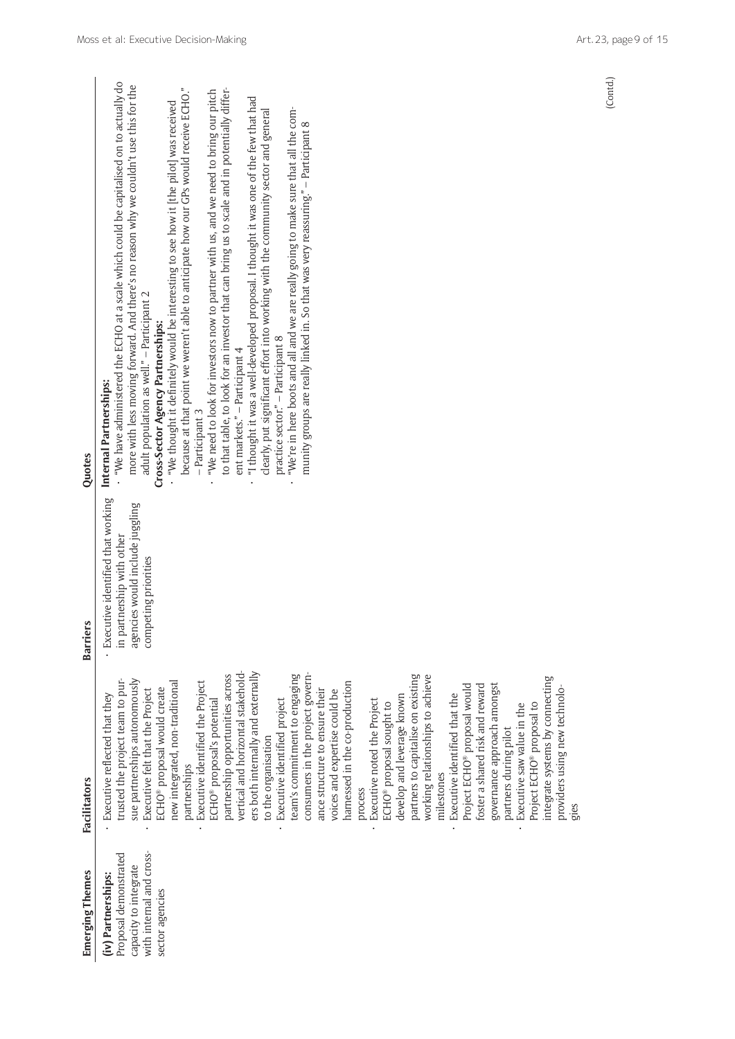| <b>Emerging Themes</b>                                                                                             | <b>Facilitators</b>                                                                                                                                                                                                                                                                                                                                                                                                                                                                                                                                                                                                                                                                                                                                                                                                                                                                                                                                                                                                                                                                                                                                   | <b>Barriers</b>                                                                                                           | Quotes                                                                                                                                                                                                                                                                                                                                                                                                                                                                                                                                                                                                                                                                                                                                                                                                                                                                                                                                                                                                                                                                                                                            |
|--------------------------------------------------------------------------------------------------------------------|-------------------------------------------------------------------------------------------------------------------------------------------------------------------------------------------------------------------------------------------------------------------------------------------------------------------------------------------------------------------------------------------------------------------------------------------------------------------------------------------------------------------------------------------------------------------------------------------------------------------------------------------------------------------------------------------------------------------------------------------------------------------------------------------------------------------------------------------------------------------------------------------------------------------------------------------------------------------------------------------------------------------------------------------------------------------------------------------------------------------------------------------------------|---------------------------------------------------------------------------------------------------------------------------|-----------------------------------------------------------------------------------------------------------------------------------------------------------------------------------------------------------------------------------------------------------------------------------------------------------------------------------------------------------------------------------------------------------------------------------------------------------------------------------------------------------------------------------------------------------------------------------------------------------------------------------------------------------------------------------------------------------------------------------------------------------------------------------------------------------------------------------------------------------------------------------------------------------------------------------------------------------------------------------------------------------------------------------------------------------------------------------------------------------------------------------|
| with internal and cross-<br>Proposal demonstrated<br>capacity to integrate<br>iv) Partnerships:<br>sector agencies | vertical and horizontal stakehold-<br>ers both internally and externally<br>consumers in the project govern-<br>partnership opportunities across<br>team's commitment to engaging<br>partners to capitalise on existing<br>working relationships to achieve<br>integrate systems by connecting<br>trusted the project team to pur-<br>sue partnerships autonomously<br>Executive identified the Project<br>new integrated, non-traditional<br>harnessed in the co-production<br>Project ECHO® proposal would<br>foster a shared risk and reward<br>governance approach amongst<br>ECHO® proposal would create<br>ance structure to ensure their<br>Executive felt that the Project<br>providers using new technolo-<br>voices and expertise could be<br>Executive identified that the<br>develop and leverage known<br>Executive reflected that they<br>Executive identified project<br>ECHO® proposal's potential<br>Executive noted the Project<br>ECHO <sup>®</sup> proposal sought to<br>Project ECHO® proposal to<br>Executive saw value in the<br>partners during pilot<br>to the organisation<br>partnerships<br>milestones<br>process<br>gies | Executive identified that working<br>agencies would include juggling<br>in partnership with other<br>competing priorities | $\cdot$ "We have administered the ECHO at a scale which could be capitalised on to actually do<br>more with less moving forward. And there's no reason why we couldn't use this for the<br>because at that point we weren't able to anticipate how our GPs would receive ECHO."<br>to that table, to look for an investor that can bring us to scale and in potentially differ-<br>"We need to look for investors now to partner with us, and we need to bring our pitch<br>"I thought it was a well-developed proposal. I thought it was one of the few that had<br>"We thought it definitely would be interesting to see how it [the pilot] was received<br>"We're in here boots and all and we are really going to make sure that all the com-<br>clearly, put significant effort into working with the community sector and general<br>munity groups are really linked in. So that was very reassuring." - Participant 8<br>adult population as well." - Participant 2<br>Cross-Sector Agency Partnerships:<br>practice sector." - Participant 8<br>ent markets." – Participant 4<br>Internal Partnerships:<br>-Participant 3 |
|                                                                                                                    |                                                                                                                                                                                                                                                                                                                                                                                                                                                                                                                                                                                                                                                                                                                                                                                                                                                                                                                                                                                                                                                                                                                                                       |                                                                                                                           | (Contd.)                                                                                                                                                                                                                                                                                                                                                                                                                                                                                                                                                                                                                                                                                                                                                                                                                                                                                                                                                                                                                                                                                                                          |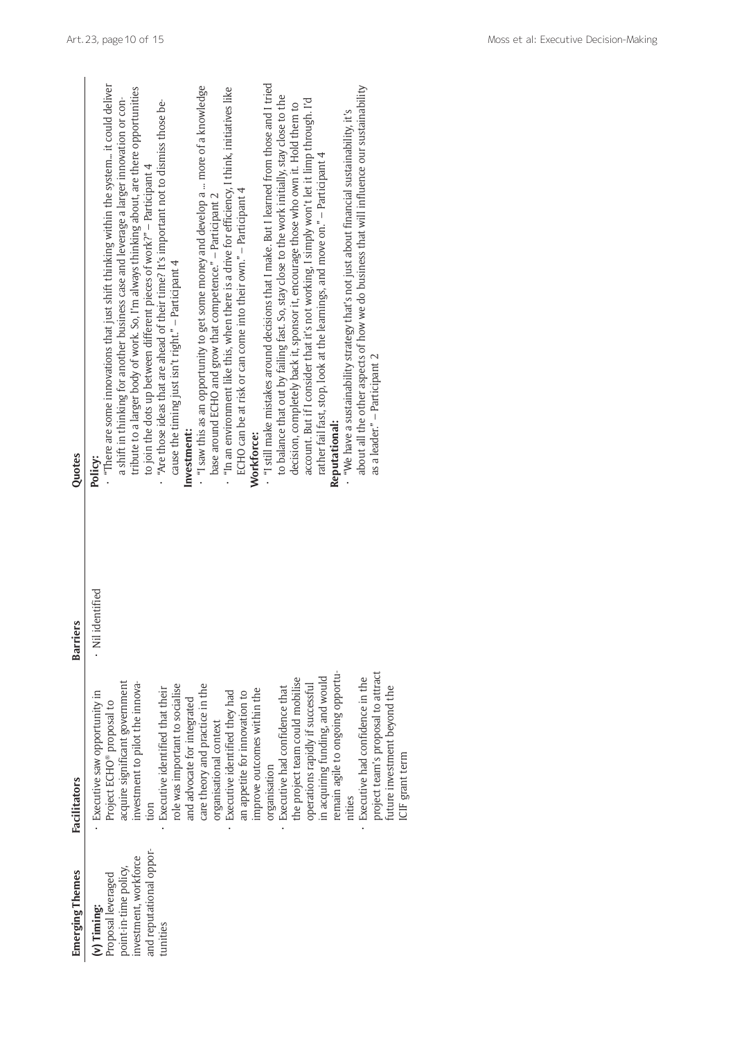| <b>Emerging Themes</b>  | Facilitators                       | <b>Barriers</b> | Quotes                                                                                          |
|-------------------------|------------------------------------|-----------------|-------------------------------------------------------------------------------------------------|
| (v) Timing:             | Executive saw opportunity in       | Nil identified  | Policy:                                                                                         |
| roposal leveraged       | Project ECHO® proposal to          |                 | · "There are some innovations that just shift thinking within the system it could deliver       |
| point-in-time policy,   | acquire significant government     |                 | a shift in thinking for another business case and leverage a larger innovation or con-          |
| nvestment, workforce    | investment to pilot the innova-    |                 | tribute to a larger body of work. So, I'm always thinking about, are there opportunities        |
| and reputational oppor- | tion                               |                 | to join the dots up between different pieces of work?" – Participant 4                          |
| tunities                | Executive identified that their    |                 | "Are those ideas that are ahead of their time? It's important not to dismiss those be-          |
|                         | role was important to socialise    |                 | cause the timing just isn't right." – Participant 4                                             |
|                         | and advocate for integrated        |                 | Investment:                                                                                     |
|                         | care theory and practice in the    |                 | "I saw this as an opportunity to get some money and develop a  more of a knowledge              |
|                         | organisational context             |                 | base around ECHO and grow that competence." – Participant 2                                     |
|                         | Executive identified they had      |                 | "In an environment like this, when there is a drive for efficiency, I think, initiatives like   |
|                         | an appetite for innovation to      |                 | ECHO can be at risk or can come into their own." – Participant 4                                |
|                         | improve outcomes within the        |                 | Worktorce:                                                                                      |
|                         | organisation                       |                 | "I still make mistakes around decisions that I make. But I learned from those and I tried       |
|                         | Executive had confidence that      |                 | to balance that out by failing fast. So, stay close to the work initially, stay close to the    |
|                         | the project team could mobilise    |                 | decision, completely back it, sponsor it, encourage those who own it. Hold them to              |
|                         | operations rapidly if successful   |                 | account. But if I consider that it's not working, I simply won't let it limp through. I'd       |
|                         | n acquiring funding, and would     |                 | rather fail fast, stop, look at the learnings, and move on." – Participant 4                    |
|                         | emain agile to ongoing opportu-    |                 | Reputational:                                                                                   |
|                         | nities                             |                 | . We have a sustainability strategy that's not just about financial sustainability, it's $\sim$ |
|                         | Executive had confidence in the    |                 | about all the other aspects of how we do business that will influence our sustainability        |
|                         | project team's proposal to attract |                 | as a leader." – Participant 2                                                                   |
|                         | uture investment beyond the        |                 |                                                                                                 |
|                         | ICIF grant term                    |                 |                                                                                                 |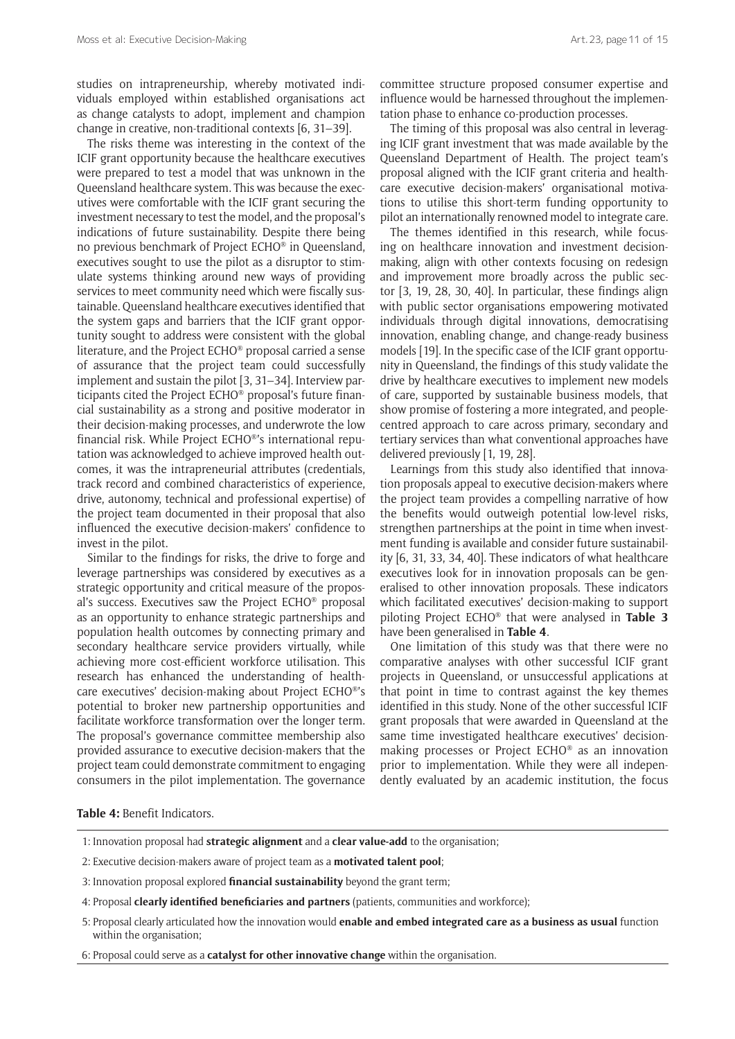studies on intrapreneurship, whereby motivated individuals employed within established organisations act as change catalysts to adopt, implement and champion change in creative, non-traditional contexts [6, 31–39].

The risks theme was interesting in the context of the ICIF grant opportunity because the healthcare executives were prepared to test a model that was unknown in the Queensland healthcare system. This was because the executives were comfortable with the ICIF grant securing the investment necessary to test the model, and the proposal's indications of future sustainability. Despite there being no previous benchmark of Project ECHO® in Queensland, executives sought to use the pilot as a disruptor to stimulate systems thinking around new ways of providing services to meet community need which were fiscally sustainable. Queensland healthcare executives identified that the system gaps and barriers that the ICIF grant opportunity sought to address were consistent with the global literature, and the Project ECHO® proposal carried a sense of assurance that the project team could successfully implement and sustain the pilot [3, 31–34]. Interview participants cited the Project ECHO® proposal's future financial sustainability as a strong and positive moderator in their decision-making processes, and underwrote the low financial risk. While Project ECHO®'s international reputation was acknowledged to achieve improved health outcomes, it was the intrapreneurial attributes (credentials, track record and combined characteristics of experience, drive, autonomy, technical and professional expertise) of the project team documented in their proposal that also influenced the executive decision-makers' confidence to invest in the pilot.

Similar to the findings for risks, the drive to forge and leverage partnerships was considered by executives as a strategic opportunity and critical measure of the proposal's success. Executives saw the Project ECHO® proposal as an opportunity to enhance strategic partnerships and population health outcomes by connecting primary and secondary healthcare service providers virtually, while achieving more cost-efficient workforce utilisation. This research has enhanced the understanding of healthcare executives' decision-making about Project ECHO®'s potential to broker new partnership opportunities and facilitate workforce transformation over the longer term. The proposal's governance committee membership also provided assurance to executive decision-makers that the project team could demonstrate commitment to engaging consumers in the pilot implementation. The governance committee structure proposed consumer expertise and influence would be harnessed throughout the implementation phase to enhance co-production processes.

The timing of this proposal was also central in leveraging ICIF grant investment that was made available by the Queensland Department of Health. The project team's proposal aligned with the ICIF grant criteria and healthcare executive decision-makers' organisational motivations to utilise this short-term funding opportunity to pilot an internationally renowned model to integrate care.

The themes identified in this research, while focusing on healthcare innovation and investment decisionmaking, align with other contexts focusing on redesign and improvement more broadly across the public sector [3, 19, 28, 30, 40]. In particular, these findings align with public sector organisations empowering motivated individuals through digital innovations, democratising innovation, enabling change, and change-ready business models [19]. In the specific case of the ICIF grant opportunity in Queensland, the findings of this study validate the drive by healthcare executives to implement new models of care, supported by sustainable business models, that show promise of fostering a more integrated, and peoplecentred approach to care across primary, secondary and tertiary services than what conventional approaches have delivered previously [1, 19, 28].

Learnings from this study also identified that innovation proposals appeal to executive decision-makers where the project team provides a compelling narrative of how the benefits would outweigh potential low-level risks, strengthen partnerships at the point in time when investment funding is available and consider future sustainability [6, 31, 33, 34, 40]. These indicators of what healthcare executives look for in innovation proposals can be generalised to other innovation proposals. These indicators which facilitated executives' decision-making to support piloting Project ECHO® that were analysed in **Table 3** have been generalised in **Table 4**.

One limitation of this study was that there were no comparative analyses with other successful ICIF grant projects in Queensland, or unsuccessful applications at that point in time to contrast against the key themes identified in this study. None of the other successful ICIF grant proposals that were awarded in Queensland at the same time investigated healthcare executives' decisionmaking processes or Project ECHO® as an innovation prior to implementation. While they were all independently evaluated by an academic institution, the focus

#### **Table 4:** Benefit Indicators.

- 1: Innovation proposal had **strategic alignment** and a **clear value-add** to the organisation;
- 2: Executive decision-makers aware of project team as a **motivated talent pool**;
- 3: Innovation proposal explored **financial sustainability** beyond the grant term;
- 4: Proposal **clearly identified beneficiaries and partners** (patients, communities and workforce);
- 5: Proposal clearly articulated how the innovation would **enable and embed integrated care as a business as usual** function within the organisation;
- 6: Proposal could serve as a **catalyst for other innovative change** within the organisation.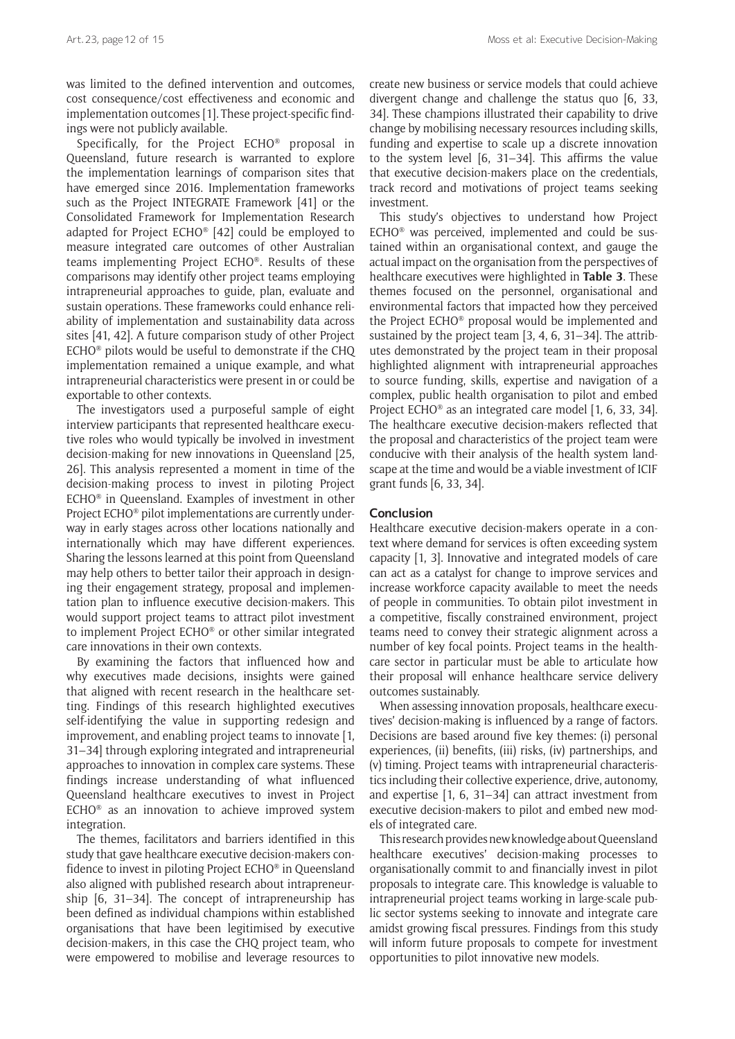was limited to the defined intervention and outcomes, cost consequence/cost effectiveness and economic and implementation outcomes [1]. These project-specific findings were not publicly available.

Specifically, for the Project ECHO® proposal in Queensland, future research is warranted to explore the implementation learnings of comparison sites that have emerged since 2016. Implementation frameworks such as the Project INTEGRATE Framework [41] or the Consolidated Framework for Implementation Research adapted for Project ECHO® [42] could be employed to measure integrated care outcomes of other Australian teams implementing Project ECHO®. Results of these comparisons may identify other project teams employing intrapreneurial approaches to guide, plan, evaluate and sustain operations. These frameworks could enhance reliability of implementation and sustainability data across sites [41, 42]. A future comparison study of other Project ECHO® pilots would be useful to demonstrate if the CHQ implementation remained a unique example, and what intrapreneurial characteristics were present in or could be exportable to other contexts.

The investigators used a purposeful sample of eight interview participants that represented healthcare executive roles who would typically be involved in investment decision-making for new innovations in Queensland [25, 26]. This analysis represented a moment in time of the decision-making process to invest in piloting Project ECHO® in Queensland. Examples of investment in other Project ECHO® pilot implementations are currently underway in early stages across other locations nationally and internationally which may have different experiences. Sharing the lessons learned at this point from Queensland may help others to better tailor their approach in designing their engagement strategy, proposal and implementation plan to influence executive decision-makers. This would support project teams to attract pilot investment to implement Project ECHO® or other similar integrated care innovations in their own contexts.

By examining the factors that influenced how and why executives made decisions, insights were gained that aligned with recent research in the healthcare setting. Findings of this research highlighted executives self-identifying the value in supporting redesign and improvement, and enabling project teams to innovate [1, 31–34] through exploring integrated and intrapreneurial approaches to innovation in complex care systems. These findings increase understanding of what influenced Queensland healthcare executives to invest in Project ECHO® as an innovation to achieve improved system integration.

The themes, facilitators and barriers identified in this study that gave healthcare executive decision-makers confidence to invest in piloting Project ECHO® in Queensland also aligned with published research about intrapreneurship [6, 31–34]. The concept of intrapreneurship has been defined as individual champions within established organisations that have been legitimised by executive decision-makers, in this case the CHQ project team, who were empowered to mobilise and leverage resources to create new business or service models that could achieve divergent change and challenge the status quo [6, 33, 34]. These champions illustrated their capability to drive change by mobilising necessary resources including skills, funding and expertise to scale up a discrete innovation to the system level [6, 31–34]. This affirms the value that executive decision-makers place on the credentials, track record and motivations of project teams seeking investment.

This study's objectives to understand how Project ECHO® was perceived, implemented and could be sustained within an organisational context, and gauge the actual impact on the organisation from the perspectives of healthcare executives were highlighted in **Table 3**. These themes focused on the personnel, organisational and environmental factors that impacted how they perceived the Project ECHO® proposal would be implemented and sustained by the project team [3, 4, 6, 31–34]. The attributes demonstrated by the project team in their proposal highlighted alignment with intrapreneurial approaches to source funding, skills, expertise and navigation of a complex, public health organisation to pilot and embed Project ECHO<sup>®</sup> as an integrated care model [1, 6, 33, 34]. The healthcare executive decision-makers reflected that the proposal and characteristics of the project team were conducive with their analysis of the health system landscape at the time and would be a viable investment of ICIF grant funds [6, 33, 34].

## **Conclusion**

Healthcare executive decision-makers operate in a context where demand for services is often exceeding system capacity [1, 3]. Innovative and integrated models of care can act as a catalyst for change to improve services and increase workforce capacity available to meet the needs of people in communities. To obtain pilot investment in a competitive, fiscally constrained environment, project teams need to convey their strategic alignment across a number of key focal points. Project teams in the healthcare sector in particular must be able to articulate how their proposal will enhance healthcare service delivery outcomes sustainably.

When assessing innovation proposals, healthcare executives' decision-making is influenced by a range of factors. Decisions are based around five key themes: (i) personal experiences, (ii) benefits, (iii) risks, (iv) partnerships, and (v) timing. Project teams with intrapreneurial characteristics including their collective experience, drive, autonomy, and expertise [1, 6, 31–34] can attract investment from executive decision-makers to pilot and embed new models of integrated care.

This research provides new knowledge about Queensland healthcare executives' decision-making processes to organisationally commit to and financially invest in pilot proposals to integrate care. This knowledge is valuable to intrapreneurial project teams working in large-scale public sector systems seeking to innovate and integrate care amidst growing fiscal pressures. Findings from this study will inform future proposals to compete for investment opportunities to pilot innovative new models.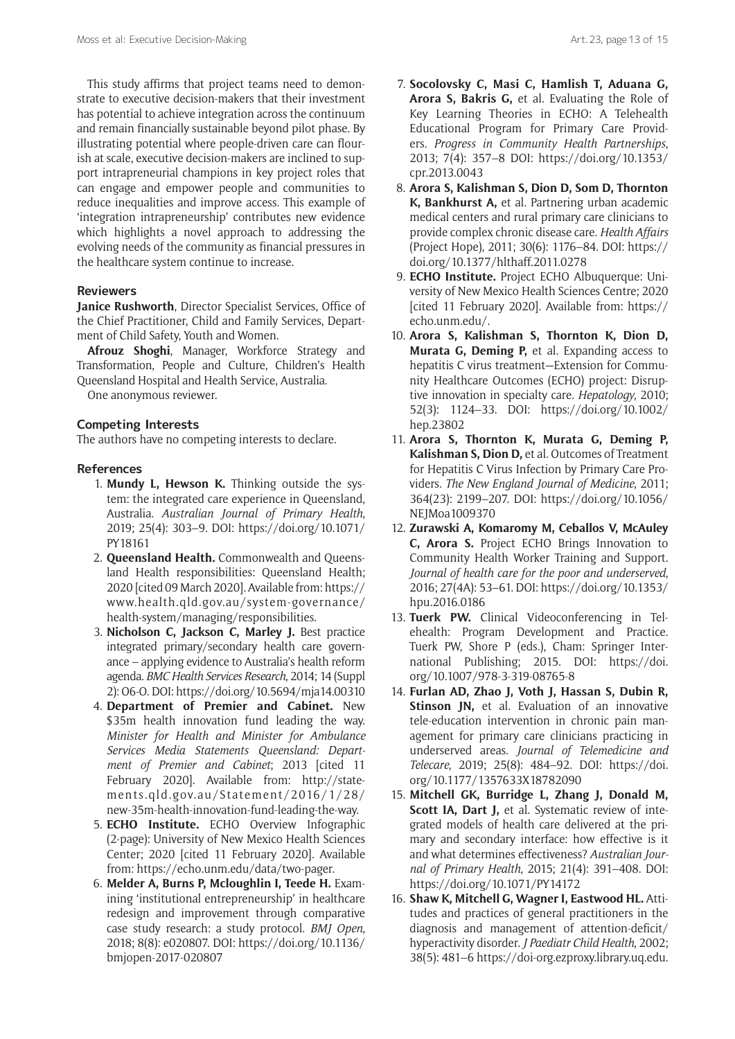This study affirms that project teams need to demonstrate to executive decision-makers that their investment has potential to achieve integration across the continuum and remain financially sustainable beyond pilot phase. By illustrating potential where people-driven care can flourish at scale, executive decision-makers are inclined to support intrapreneurial champions in key project roles that can engage and empower people and communities to

reduce inequalities and improve access. This example of 'integration intrapreneurship' contributes new evidence which highlights a novel approach to addressing the evolving needs of the community as financial pressures in the healthcare system continue to increase.

# **Reviewers**

**Janice Rushworth**, Director Specialist Services, Office of the Chief Practitioner, Child and Family Services, Department of Child Safety, Youth and Women.

**Afrouz Shoghi**, Manager, Workforce Strategy and Transformation, People and Culture, Children's Health Queensland Hospital and Health Service, Australia.

One anonymous reviewer.

#### **Competing Interests**

The authors have no competing interests to declare.

#### **References**

- 1. **Mundy L, Hewson K.** Thinking outside the system: the integrated care experience in Queensland, Australia. *Australian Journal of Primary Health*, 2019; 25(4): 303–9. DOI: [https://doi.org/10.1071/](https://doi.org/10.1071/PY18161) [PY18161](https://doi.org/10.1071/PY18161)
- 2. **Queensland Health.** Commonwealth and Queensland Health responsibilities: Queensland Health; 2020 [cited 09 March 2020]. Available from: [https://](https://www.health.qld.gov.au/system-governance/health-system/managing/responsibilities) [www.health.qld.gov.au/system-governance/](https://www.health.qld.gov.au/system-governance/health-system/managing/responsibilities) [health-system/managing/responsibilities.](https://www.health.qld.gov.au/system-governance/health-system/managing/responsibilities)
- 3. **Nicholson C, Jackson C, Marley J.** Best practice integrated primary/secondary health care governance – applying evidence to Australia's health reform agenda. *BMC Health Services Research*, 2014; 14 (Suppl 2): O6-O. DOI: <https://doi.org/10.5694/mja14.00310>
- 4. **Department of Premier and Cabinet.** New \$35m health innovation fund leading the way. *Minister for Health and Minister for Ambulance Services Media Statements Queensland: Department of Premier and Cabinet*; 2013 [cited 11 February 2020]. Available from: [http://state](http://statements.qld.gov.au/Statement/2016/1/28/new-35m-health-innovation-fund-leading-the-way)[ments.qld.gov.au/Statement/2016/1/28/](http://statements.qld.gov.au/Statement/2016/1/28/new-35m-health-innovation-fund-leading-the-way) [new-35m-health-innovation-fund-leading-the-way.](http://statements.qld.gov.au/Statement/2016/1/28/new-35m-health-innovation-fund-leading-the-way)
- 5. **ECHO Institute.** ECHO Overview Infographic (2-page): University of New Mexico Health Sciences Center; 2020 [cited 11 February 2020]. Available from: <https://echo.unm.edu/data/two-pager>.
- 6. **Melder A, Burns P, Mcloughlin I, Teede H.** Examining 'institutional entrepreneurship' in healthcare redesign and improvement through comparative case study research: a study protocol. *BMJ Open*, 2018; 8(8): e020807. DOI: [https://doi.org/10.1136/](https://doi.org/10.1136/bmjopen-2017-020807) [bmjopen-2017-020807](https://doi.org/10.1136/bmjopen-2017-020807)
- 7. **Socolovsky C, Masi C, Hamlish T, Aduana G, Arora S, Bakris G,** et al. Evaluating the Role of Key Learning Theories in ECHO: A Telehealth Educational Program for Primary Care Providers. *Progress in Community Health Partnerships*, 2013; 7(4): 357–8 DOI: [https://doi.org/10.1353/](https://doi.org/10.1353/cpr.2013.0043) [cpr.2013.0043](https://doi.org/10.1353/cpr.2013.0043)
- 8. **Arora S, Kalishman S, Dion D, Som D, Thornton K, Bankhurst A,** et al. Partnering urban academic medical centers and rural primary care clinicians to provide complex chronic disease care. *Health Affairs*  (Project Hope), 2011; 30(6): 1176–84. DOI: [https://](https://doi.org/10.1377/hlthaff.2011.0278) [doi.org/10.1377/hlthaff.2011.0278](https://doi.org/10.1377/hlthaff.2011.0278)
- 9. **ECHO Institute.** Project ECHO Albuquerque: University of New Mexico Health Sciences Centre; 2020 [cited 11 February 2020]. Available from: [https://](https://echo.unm.edu/) [echo.unm.edu/.](https://echo.unm.edu/)
- 10. **Arora S, Kalishman S, Thornton K, Dion D, Murata G, Deming P,** et al. Expanding access to hepatitis C virus treatment—Extension for Community Healthcare Outcomes (ECHO) project: Disruptive innovation in specialty care. *Hepatology*, 2010; 52(3): 1124–33. DOI: [https://doi.org/10.1002/](https://doi.org/10.1002/hep.23802) [hep.23802](https://doi.org/10.1002/hep.23802)
- 11. **Arora S, Thornton K, Murata G, Deming P, Kalishman S, Dion D,** et al. Outcomes of Treatment for Hepatitis C Virus Infection by Primary Care Providers. *The New England Journal of Medicine*, 2011; 364(23): 2199–207. DOI: [https://doi.org/10.1056/](https://doi.org/10.1056/NEJMoa1009370) [NEJMoa1009370](https://doi.org/10.1056/NEJMoa1009370)
- 12. **Zurawski A, Komaromy M, Ceballos V, McAuley C, Arora S.** Project ECHO Brings Innovation to Community Health Worker Training and Support. *Journal of health care for the poor and underserved*, 2016; 27(4A): 53–61. DOI: [https://doi.org/10.1353/](https://doi.org/10.1353/hpu.2016.0186) [hpu.2016.0186](https://doi.org/10.1353/hpu.2016.0186)
- 13. **Tuerk PW.** Clinical Videoconferencing in Telehealth: Program Development and Practice. Tuerk PW, Shore P (eds.), Cham: Springer International Publishing; 2015. DOI: [https://doi.](https://doi.org/10.1007/978-3-319-08765-8) [org/10.1007/978-3-319-08765-8](https://doi.org/10.1007/978-3-319-08765-8)
- 14. **Furlan AD, Zhao J, Voth J, Hassan S, Dubin R, Stinson JN,** et al. Evaluation of an innovative tele-education intervention in chronic pain management for primary care clinicians practicing in underserved areas. *Journal of Telemedicine and Telecare*, 2019; 25(8): 484–92. DOI: [https://doi.](https://doi.org/10.1177/1357633X18782090) [org/10.1177/1357633X18782090](https://doi.org/10.1177/1357633X18782090)
- 15. **Mitchell GK, Burridge L, Zhang J, Donald M, Scott IA, Dart J,** et al. Systematic review of integrated models of health care delivered at the primary and secondary interface: how effective is it and what determines effectiveness? *Australian Journal of Primary Health*, 2015; 21(4): 391–408. DOI: <https://doi.org/10.1071/PY14172>
- 16. **Shaw K, Mitchell G, Wagner I, Eastwood HL.** Attitudes and practices of general practitioners in the diagnosis and management of attention-deficit/ hyperactivity disorder. *J Paediatr Child Health*, 2002; 38(5): 481–6 [https://doi-org.ezproxy.library.uq.edu.](https://doi-org.ezproxy.library.uq.edu.au/10.1046/j.1440-1754.2002.00033.x)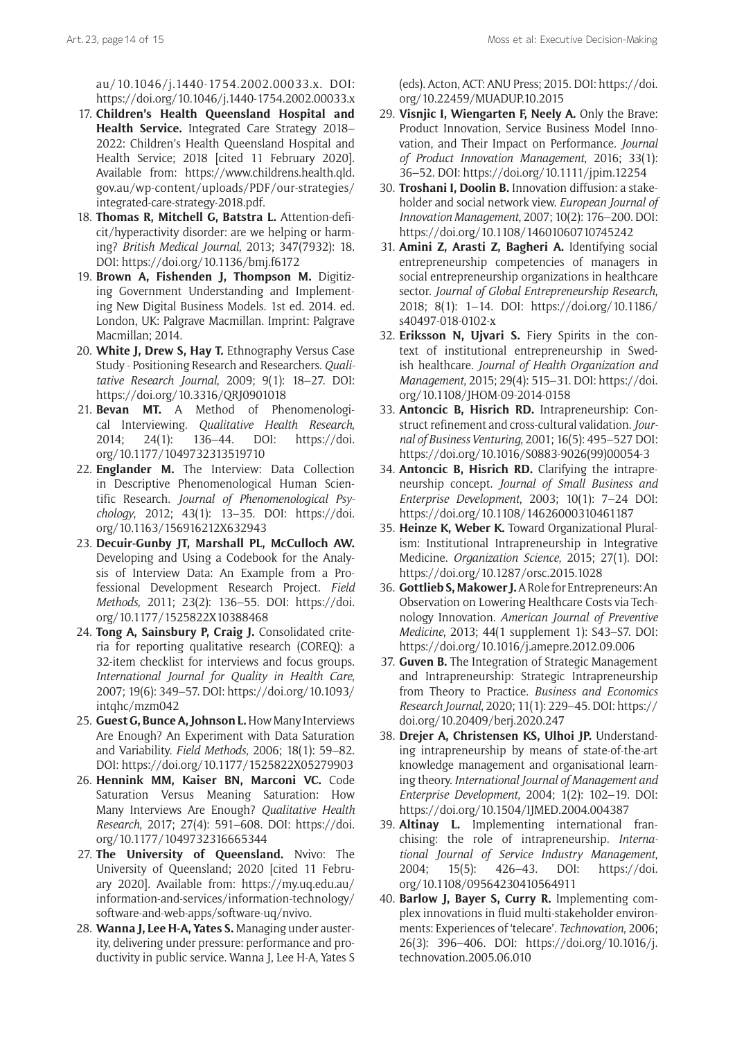[au/10.1046/j.1440-1754.2002.00033.x.](https://doi-org.ezproxy.library.uq.edu.au/10.1046/j.1440-1754.2002.00033.x) DOI: <https://doi.org/10.1046/j.1440-1754.2002.00033.x>

- 17. **Children's Health Queensland Hospital and Health Service.** Integrated Care Strategy 2018– 2022: Children's Health Queensland Hospital and Health Service; 2018 [cited 11 February 2020]. Available from: [https://www.childrens.health.qld.](https://www.childrens.health.qld.gov.au/wp-content/uploads/PDF/our-strategies/integrated-care-strategy-2018.pdf) [gov.au/wp-content/uploads/PDF/our-strategies/](https://www.childrens.health.qld.gov.au/wp-content/uploads/PDF/our-strategies/integrated-care-strategy-2018.pdf) [integrated-care-strategy-2018.pdf.](https://www.childrens.health.qld.gov.au/wp-content/uploads/PDF/our-strategies/integrated-care-strategy-2018.pdf)
- 18. **Thomas R, Mitchell G, Batstra L.** Attention-deficit/hyperactivity disorder: are we helping or harming? *British Medical Journal*, 2013; 347(7932): 18. DOI: <https://doi.org/10.1136/bmj.f6172>
- 19. **Brown A, Fishenden J, Thompson M.** Digitizing Government Understanding and Implementing New Digital Business Models. 1st ed. 2014. ed. London, UK: Palgrave Macmillan. Imprint: Palgrave Macmillan; 2014.
- 20. **White J, Drew S, Hay T.** Ethnography Versus Case Study - Positioning Research and Researchers. *Qualitative Research Journal*, 2009; 9(1): 18–27. DOI: <https://doi.org/10.3316/QRJ0901018>
- 21. **Bevan MT.** A Method of Phenomenological Interviewing. *Qualitative Health Research*, 2014; 24(1): 136–44. DOI: [https://doi.](https://doi.org/10.1177/1049732313519710) [org/10.1177/1049732313519710](https://doi.org/10.1177/1049732313519710)
- 22. **Englander M.** The Interview: Data Collection in Descriptive Phenomenological Human Scientific Research. *Journal of Phenomenological Psychology*, 2012; 43(1): 13–35. DOI: [https://doi.](https://doi.org/10.1163/156916212X632943) [org/10.1163/156916212X632943](https://doi.org/10.1163/156916212X632943)
- 23. **Decuir-Gunby JT, Marshall PL, McCulloch AW.**  Developing and Using a Codebook for the Analysis of Interview Data: An Example from a Professional Development Research Project. *Field Methods*, 2011; 23(2): 136–55. DOI: [https://doi.](https://doi.org/10.1177/1525822X10388468) [org/10.1177/1525822X10388468](https://doi.org/10.1177/1525822X10388468)
- 24. **Tong A, Sainsbury P, Craig J.** Consolidated criteria for reporting qualitative research (COREQ): a 32-item checklist for interviews and focus groups. *International Journal for Quality in Health Care*, 2007; 19(6): 349–57. DOI: [https://doi.org/10.1093/](https://doi.org/10.1093/intqhc/mzm042) [intqhc/mzm042](https://doi.org/10.1093/intqhc/mzm042)
- 25. **Guest G, Bunce A, Johnson L.** How Many Interviews Are Enough? An Experiment with Data Saturation and Variability. *Field Methods*, 2006; 18(1): 59–82. DOI: <https://doi.org/10.1177/1525822X05279903>
- 26. **Hennink MM, Kaiser BN, Marconi VC.** Code Saturation Versus Meaning Saturation: How Many Interviews Are Enough? *Qualitative Health Research*, 2017; 27(4): 591–608. DOI: [https://doi.](https://doi.org/10.1177/1049732316665344) [org/10.1177/1049732316665344](https://doi.org/10.1177/1049732316665344)
- 27. **The University of Queensland.** Nvivo: The University of Queensland; 2020 [cited 11 February 2020]. Available from: [https://my.uq.edu.au/](https://my.uq.edu.au/information-and-services/information-technology/software-and-web-apps/software-uq/nvivo) [information-and-services/information-technology/](https://my.uq.edu.au/information-and-services/information-technology/software-and-web-apps/software-uq/nvivo) [software-and-web-apps/software-uq/nvivo.](https://my.uq.edu.au/information-and-services/information-technology/software-and-web-apps/software-uq/nvivo)
- 28. **Wanna J, Lee H-A, Yates S.** Managing under austerity, delivering under pressure: performance and productivity in public service. Wanna J, Lee H-A, Yates S

(eds). Acton, ACT: ANU Press; 2015. DOI: [https://doi.](https://doi.org/10.22459/MUADUP.10.2015) [org/10.22459/MUADUP.10.2015](https://doi.org/10.22459/MUADUP.10.2015)

- 29. **Visnjic I, Wiengarten F, Neely A.** Only the Brave: Product Innovation, Service Business Model Innovation, and Their Impact on Performance. *Journal of Product Innovation Management*, 2016; 33(1): 36–52. DOI:<https://doi.org/10.1111/jpim.12254>
- 30. **Troshani I, Doolin B.** Innovation diffusion: a stakeholder and social network view. *European Journal of Innovation Management*, 2007; 10(2): 176–200. DOI: <https://doi.org/10.1108/14601060710745242>
- 31. **Amini Z, Arasti Z, Bagheri A.** Identifying social entrepreneurship competencies of managers in social entrepreneurship organizations in healthcare sector. *Journal of Global Entrepreneurship Research*, 2018; 8(1): 1–14. DOI: [https://doi.org/10.1186/](https://doi.org/10.1186/s40497-018-0102-x) [s40497-018-0102-x](https://doi.org/10.1186/s40497-018-0102-x)
- 32. **Eriksson N, Ujvari S.** Fiery Spirits in the context of institutional entrepreneurship in Swedish healthcare. *Journal of Health Organization and Management*, 2015; 29(4): 515–31. DOI: [https://doi.](https://doi.org/10.1108/JHOM-09-2014-0158) [org/10.1108/JHOM-09-2014-0158](https://doi.org/10.1108/JHOM-09-2014-0158)
- 33. **Antoncic B, Hisrich RD.** Intrapreneurship: Construct refinement and cross-cultural validation. *Journal of Business Venturing*, 2001; 16(5): 495–527 DOI: [https://doi.org/10.1016/S0883-9026\(99\)00054-3](https://doi.org/10.1016/S0883-9026(99)00054-3)
- 34. **Antoncic B, Hisrich RD.** Clarifying the intrapreneurship concept. *Journal of Small Business and Enterprise Development*, 2003; 10(1): 7–24 DOI: <https://doi.org/10.1108/14626000310461187>
- 35. **Heinze K, Weber K.** Toward Organizational Pluralism: Institutional Intrapreneurship in Integrative Medicine. *Organization Science*, 2015; 27(1). DOI: <https://doi.org/10.1287/orsc.2015.1028>
- 36. **Gottlieb S, Makower J.** A Role for Entrepreneurs: An Observation on Lowering Healthcare Costs via Technology Innovation. *American Journal of Preventive Medicine*, 2013; 44(1 supplement 1): S43–S7. DOI: <https://doi.org/10.1016/j.amepre.2012.09.006>
- 37. **Guven B.** The Integration of Strategic Management and Intrapreneurship: Strategic Intrapreneurship from Theory to Practice. *Business and Economics Research Journal*, 2020; 11(1): 229–45. DOI: [https://](https://doi.org/10.20409/berj.2020.247) [doi.org/10.20409/berj.2020.247](https://doi.org/10.20409/berj.2020.247)
- 38. **Drejer A, Christensen KS, Ulhoi JP.** Understanding intrapreneurship by means of state-of-the-art knowledge management and organisational learning theory. *International Journal of Management and Enterprise Development*, 2004; 1(2): 102–19. DOI: <https://doi.org/10.1504/IJMED.2004.004387>
- 39. **Altinay L.** Implementing international franchising: the role of intrapreneurship. *International Journal of Service Industry Management*, 2004; 15(5): 426–43. DOI: [https://doi.](https://doi.org/10.1108/09564230410564911) [org/10.1108/09564230410564911](https://doi.org/10.1108/09564230410564911)
- 40. **Barlow J, Bayer S, Curry R.** Implementing complex innovations in fluid multi-stakeholder environments: Experiences of 'telecare'. *Technovation*, 2006; 26(3): 396–406. DOI: [https://doi.org/10.1016/j.](https://doi.org/10.1016/j.technovation.2005.06.010) [technovation.2005.06.010](https://doi.org/10.1016/j.technovation.2005.06.010)